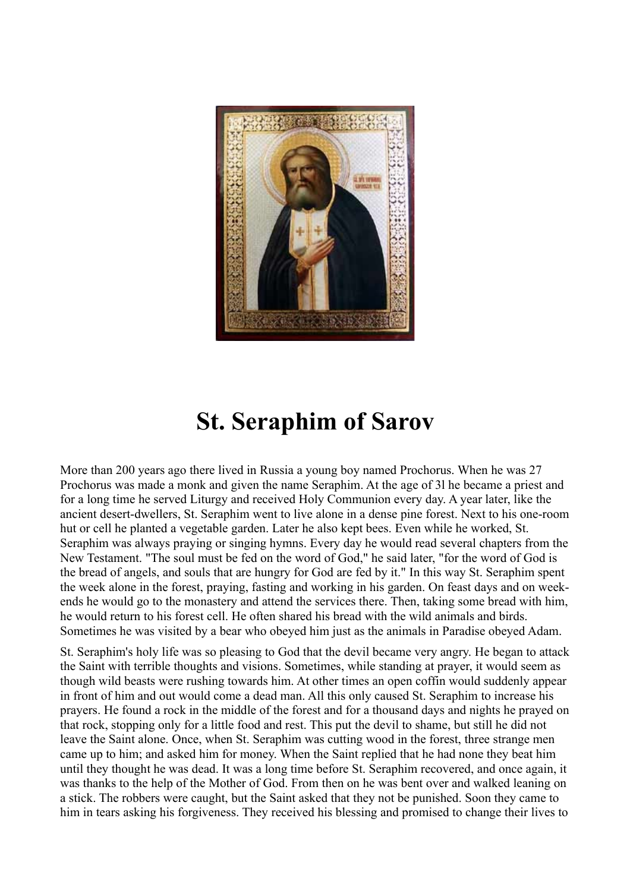

## **St. Seraphim of Sarov**

More than 200 years ago there lived in Russia a young boy named Prochorus. When he was 27 Prochorus was made a monk and given the name Seraphim. At the age of 3l he became a priest and for a long time he served Liturgy and received Holy Communion every day. A year later, like the ancient desert-dwellers, St. Seraphim went to live alone in a dense pine forest. Next to his one-room hut or cell he planted a vegetable garden. Later he also kept bees. Even while he worked, St. Seraphim was always praying or singing hymns. Every day he would read several chapters from the New Testament. "The soul must be fed on the word of God," he said later, "for the word of God is the bread of angels, and souls that are hungry for God are fed by it." In this way St. Seraphim spent the week alone in the forest, praying, fasting and working in his garden. On feast days and on weekends he would go to the monastery and attend the services there. Then, taking some bread with him, he would return to his forest cell. He often shared his bread with the wild animals and birds. Sometimes he was visited by a bear who obeyed him just as the animals in Paradise obeyed Adam.

St. Seraphim's holy life was so pleasing to God that the devil became very angry. He began to attack the Saint with terrible thoughts and visions. Sometimes, while standing at prayer, it would seem as though wild beasts were rushing towards him. At other times an open coffin would suddenly appear in front of him and out would come a dead man. All this only caused St. Seraphim to increase his prayers. He found a rock in the middle of the forest and for a thousand days and nights he prayed on that rock, stopping only for a little food and rest. This put the devil to shame, but still he did not leave the Saint alone. Once, when St. Seraphim was cutting wood in the forest, three strange men came up to him; and asked him for money. When the Saint replied that he had none they beat him until they thought he was dead. It was a long time before St. Seraphim recovered, and once again, it was thanks to the help of the Mother of God. From then on he was bent over and walked leaning on a stick. The robbers were caught, but the Saint asked that they not be punished. Soon they came to him in tears asking his forgiveness. They received his blessing and promised to change their lives to